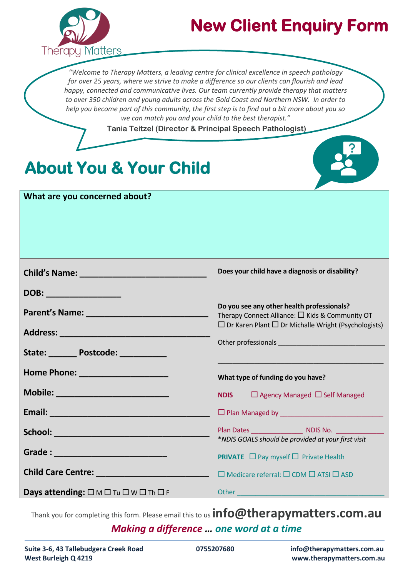

## **New Client Enquiry Form**

*"Welcome to Therapy Matters, a leading centre for clinical excellence in speech pathology for over 25 years, where we strive to make a difference so our clients can flourish and lead happy, connected and communicative lives. Our team currently provide therapy that matters to over 350 children and young adults across the Gold Coast and Northern NSW. In order to help you become part of this community, the first step is to find out a bit more about you so we can match you and your child to the best therapist."* 

**Tania Teitzel (Director & Principal Speech Pathologist)** 

## **About You & Your Child**

| What are you concerned about?                                                                                         |                                                                                                                                                                       |
|-----------------------------------------------------------------------------------------------------------------------|-----------------------------------------------------------------------------------------------------------------------------------------------------------------------|
|                                                                                                                       | Does your child have a diagnosis or disability?                                                                                                                       |
| DOB: _________________<br>Address: ____________________________<br>State: Postcode: National Postcode:                | Do you see any other health professionals?<br>Therapy Connect Alliance: $\Box$ Kids & Community OT<br>$\Box$ Dr Karen Plant $\Box$ Dr Michalle Wright (Psychologists) |
| Home Phone: New York Phone State Communication                                                                        | What type of funding do you have?                                                                                                                                     |
|                                                                                                                       | $\Box$ Agency Managed $\Box$ Self Managed<br><b>NDIS</b><br>□ Plan Managed by National Plan Managed by                                                                |
| School: <u>Andrew Marian Maria Maria Maria Maria Maria Maria Maria Maria Maria Maria Maria Maria Maria Maria Mari</u> | <b>Plan Dates And Albumi MDIS No.</b> 2004.<br>*NDIS GOALS should be provided at your first visit                                                                     |
| Grade : ______________________________                                                                                | <b>PRIVATE</b> $\Box$ Pay myself $\Box$ Private Health                                                                                                                |
|                                                                                                                       | $\Box$ Medicare referral: $\Box$ CDM $\Box$ ATSI $\Box$ ASD                                                                                                           |

*Making a difference … one word at a time* Thank you for completing this form. Please email this to us **info@therapymatters.com.au**

**Days attending:**  $\Box$   $M$   $\Box$   $T u$   $\Box$   $W$   $\Box$   $T h$   $\Box$   $F$ 

Other \_\_\_\_\_\_\_\_\_\_\_\_\_\_\_\_\_\_\_\_\_\_\_\_\_\_\_\_\_\_\_\_\_\_\_\_\_\_\_\_